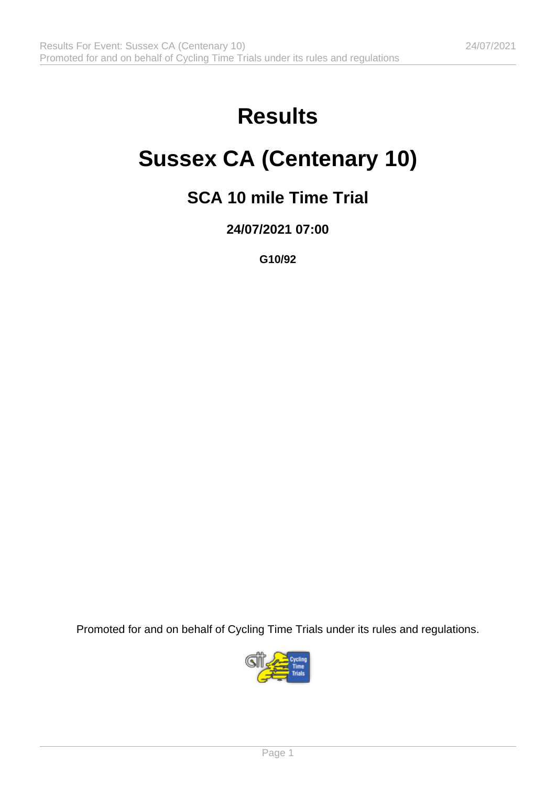# **Results**

# **Sussex CA (Centenary 10)**

### **SCA 10 mile Time Trial**

**24/07/2021 07:00**

**G10/92**

Promoted for and on behalf of Cycling Time Trials under its rules and regulations.

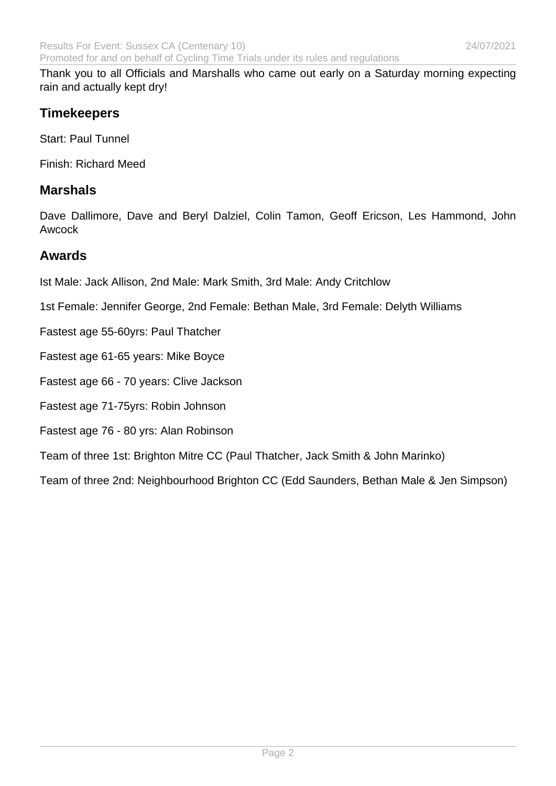Thank you to all Officials and Marshalls who came out early on a Saturday morning expecting rain and actually kept dry!

### **Timekeepers**

Start: Paul Tunnel

Finish: Richard Meed

#### **Marshals**

Dave Dallimore, Dave and Beryl Dalziel, Colin Tamon, Geoff Ericson, Les Hammond, John Awcock

#### **Awards**

Ist Male: Jack Allison, 2nd Male: Mark Smith, 3rd Male: Andy Critchlow

1st Female: Jennifer George, 2nd Female: Bethan Male, 3rd Female: Delyth Williams

- Fastest age 55-60yrs: Paul Thatcher
- Fastest age 61-65 years: Mike Boyce
- Fastest age 66 70 years: Clive Jackson

Fastest age 71-75yrs: Robin Johnson

#### Fastest age 76 - 80 yrs: Alan Robinson

Team of three 1st: Brighton Mitre CC (Paul Thatcher, Jack Smith & John Marinko)

Team of three 2nd: Neighbourhood Brighton CC (Edd Saunders, Bethan Male & Jen Simpson)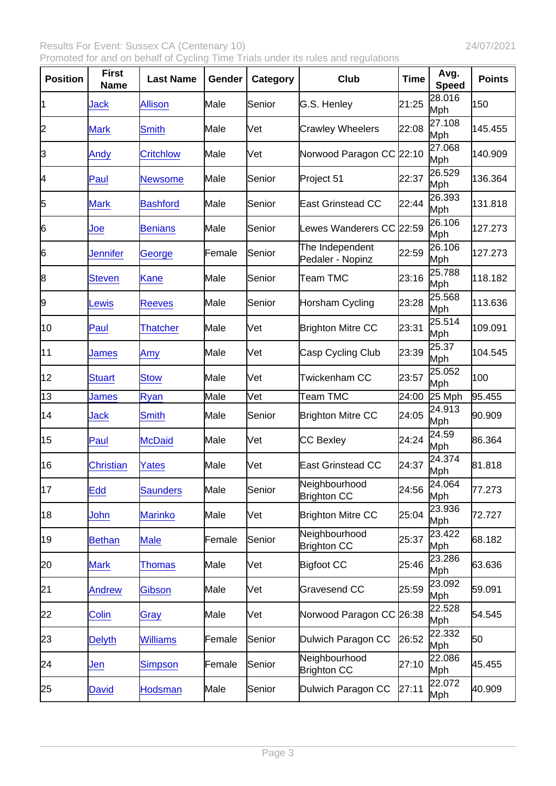Results For Event: Sussex CA (Centenary 10)  $24/07/2021$ Promoted for and on behalf of Cycling Time Trials under its rules and regulations

| Position | First<br>Name    | Last Name        | Gender | Category | Club                                | Time  | Avg.<br>Speed        | Points  |
|----------|------------------|------------------|--------|----------|-------------------------------------|-------|----------------------|---------|
| 11       | Jack             | <b>Allison</b>   | Male   | Senior   | G.S. Henley                         | 21:25 | 28.016<br>Mph        | 150     |
| 2        | <b>Mark</b>      | <b>Smith</b>     | Male   | Vet      | <b>Crawley Wheelers</b>             | 22:08 | 27.108<br>Mph        | 145.455 |
| 3        | Andy             | <b>Critchlow</b> | Male   | Vet      | Norwood Paragon CC 22:10            |       | 27.068<br>Mph        | 140.909 |
| 4        | Paul             | <b>Newsome</b>   | Male   | Senior   | Project 51                          | 22:37 | 26.529<br>Mph        | 136.364 |
| 5        | <b>Mark</b>      | <b>Bashford</b>  | Male   | Senior   | <b>East Grinstead CC</b>            | 22:44 | 26.393<br>Mph        | 131.818 |
| 6        | Joe              | <b>Benians</b>   | Male   | Senior   | Lewes Wanderers CC 22:59            |       | 26.106<br>Mph        | 127.273 |
| 6        | Jennifer         | George           | Female | Senior   | The Independent<br>Pedaler - Nopinz | 22:59 | 26.106<br>Mph        | 127.273 |
| 8        | <b>Steven</b>    | <b>Kane</b>      | Male   | Senior   | Team TMC                            | 23:16 | 25.788<br>Mph        | 118.182 |
| 9        | Lewis            | <b>Reeves</b>    | Male   | Senior   | Horsham Cycling                     | 23:28 | 25.568<br>Mph        | 113.636 |
| 10       | Paul             | <b>Thatcher</b>  | Male   | Vet      | <b>Brighton Mitre CC</b>            | 23:31 | 25.514<br>Mph        | 109.091 |
| 11       | James            | Amy              | Male   | Vet      | Casp Cycling Club                   | 23:39 | 25.37<br>Mph         | 104.545 |
| 12       | <b>Stuart</b>    | <b>Stow</b>      | Male   | Vet      | Twickenham CC                       | 23:57 | 25.052<br>Mph        | 100     |
| 13       | James            | Ryan             | Male   | Vet      | Team TMC                            | 24:00 | 25 Mph               | 95.455  |
| 14       | Jack             | <b>Smith</b>     | Male   | Senior   | <b>Brighton Mitre CC</b>            | 24:05 | 24.913<br>Mph        | 90.909  |
| 15       | Paul             | <b>McDaid</b>    | Male   | Vet      | CC Bexley                           | 24:24 | 24.59<br>Mph         | 86.364  |
| 16       | <b>Christian</b> | Yates            | Male   | Vet      | <b>East Grinstead CC</b>            | 24:37 | 24.374<br>Mph        | 81.818  |
| 17       | Edd              | <b>Saunders</b>  | Male   | Senior   | Neighbourhood<br><b>Brighton CC</b> | 24:56 | 24.064<br><b>Mph</b> | 77.273  |
| 18       | John             | <b>Marinko</b>   | Male   | Vet      | <b>Brighton Mitre CC</b>            | 25:04 | 23.936<br>Mph        | 72.727  |
| 19       | <b>Bethan</b>    | <b>Male</b>      | Female | Senior   | Neighbourhood<br><b>Brighton CC</b> | 25:37 | 23.422<br>Mph        | 68.182  |
| 20       | <b>Mark</b>      | <b>Thomas</b>    | Male   | Vet      | <b>Bigfoot CC</b>                   | 25:46 | 23.286<br>Mph        | 63.636  |
| 21       | <b>Andrew</b>    | Gibson           | Male   | Vet      | Gravesend CC                        | 25:59 | 23.092<br>Mph        | 59.091  |
| 22       | Colin            | Gray             | Male   | Vet      | Norwood Paragon CC 26:38            |       | 22.528<br>Mph        | 54.545  |
| 23       | <b>Delyth</b>    | <b>Williams</b>  | Female | Senior   | Dulwich Paragon CC                  | 26:52 | 22.332<br>Mph        | 50      |
| 24       | Jen              | <b>Simpson</b>   | Female | Senior   | Neighbourhood<br><b>Brighton CC</b> | 27:10 | 22.086<br>Mph        | 45.455  |
| 25       | <b>David</b>     | <b>Hodsman</b>   | Male   | Senior   | Dulwich Paragon CC                  | 27:11 | 22.072<br>Mph        | 40.909  |